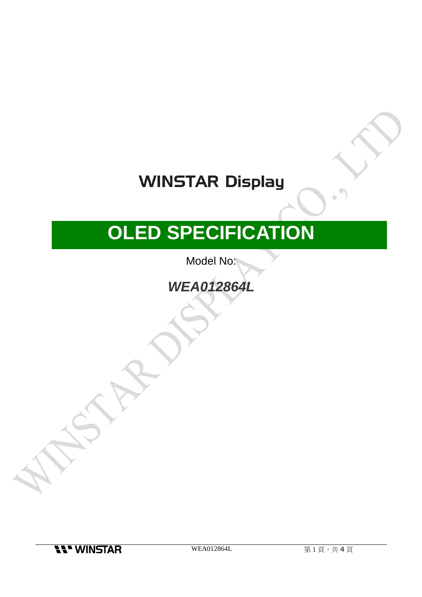## **WINSTAR Display**

# **OLED SPECIFICATION**

Model No:

**WEA012864L** 

**11 WINSTAR**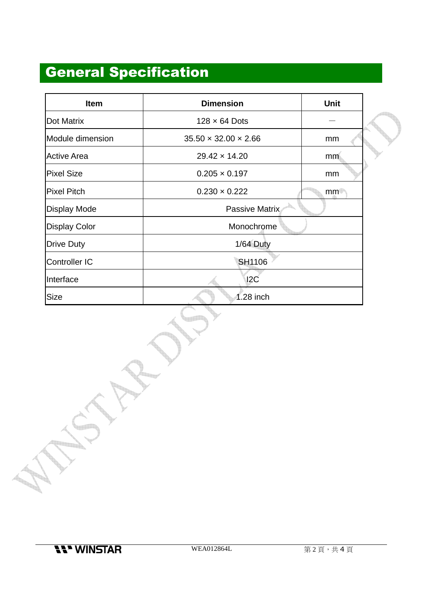### General Specification

| <b>Item</b>          | <b>Dimension</b>                 | <b>Unit</b> |  |  |  |
|----------------------|----------------------------------|-------------|--|--|--|
| <b>Dot Matrix</b>    | $128 \times 64$ Dots             |             |  |  |  |
| Module dimension     | $35.50 \times 32.00 \times 2.66$ | mm          |  |  |  |
| <b>Active Area</b>   | $29.42 \times 14.20$             | mm.         |  |  |  |
| <b>Pixel Size</b>    | $0.205 \times 0.197$             | mm          |  |  |  |
| <b>Pixel Pitch</b>   | $0.230 \times 0.222$             | mm          |  |  |  |
| <b>Display Mode</b>  | Passive Matrix                   |             |  |  |  |
| <b>Display Color</b> | Monochrome                       |             |  |  |  |
| <b>Drive Duty</b>    | 1/64 Duty                        |             |  |  |  |
| <b>Controller IC</b> | <b>SH1106</b>                    |             |  |  |  |
| Interface            | 12C                              |             |  |  |  |
| Size                 | 1.28 inch                        |             |  |  |  |

d in p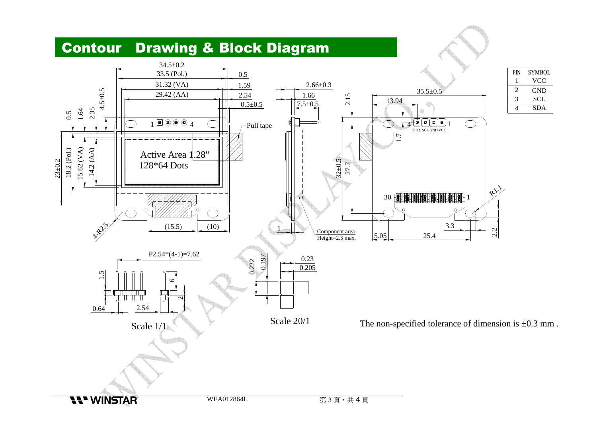#### Contour Drawing & Block Diagram